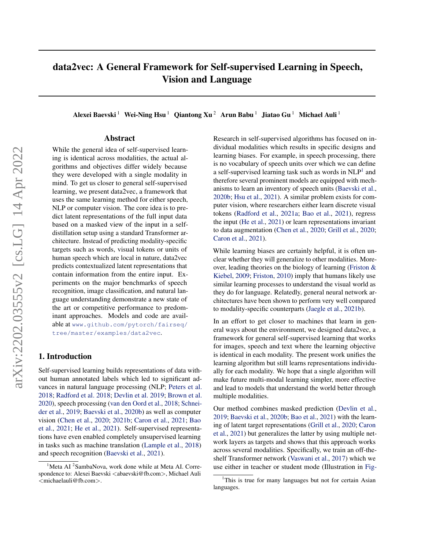# data2vec: A General Framework for Self-supervised Learning in Speech, Vision and Language

Alexei Baevski<sup>1</sup> Wei-Ning Hsu<sup>1</sup> Qiantong Xu<sup>2</sup> Arun Babu<sup>1</sup> Jiatao Gu<sup>1</sup> Michael Auli<sup>1</sup>

### Abstract

While the general idea of self-supervised learning is identical across modalities, the actual algorithms and objectives differ widely because they were developed with a single modality in mind. To get us closer to general self-supervised learning, we present data2vec, a framework that uses the same learning method for either speech, NLP or computer vision. The core idea is to predict latent representations of the full input data based on a masked view of the input in a selfdistillation setup using a standard Transformer architecture. Instead of predicting modality-specific targets such as words, visual tokens or units of human speech which are local in nature, data2vec predicts contextualized latent representations that contain information from the entire input. Experiments on the major benchmarks of speech recognition, image classification, and natural language understanding demonstrate a new state of the art or competitive performance to predominant approaches. Models and code are available at [www.github.com/pytorch/fairseq/](www.github.com/pytorch/fairseq/tree/master/examples/data2vec) [tree/master/examples/data2vec](www.github.com/pytorch/fairseq/tree/master/examples/data2vec).

# 1. Introduction

Self-supervised learning builds representations of data without human annotated labels which led to significant advances in natural language processing (NLP; [Peters et al.](#page-10-0) [2018;](#page-10-0) [Radford et al.](#page-10-1) [2018;](#page-10-1) [Devlin et al.](#page-9-0) [2019;](#page-9-0) [Brown et al.](#page-9-1) [2020\)](#page-9-1), speech processing [\(van den Oord et al.,](#page-11-0) [2018;](#page-11-0) [Schnei](#page-11-1)[der et al.,](#page-11-1) [2019;](#page-11-1) [Baevski et al.,](#page-9-2) [2020b\)](#page-9-2) as well as computer vision [\(Chen et al.,](#page-9-3) [2020;](#page-9-3) [2021b;](#page-9-4) [Caron et al.,](#page-9-5) [2021;](#page-9-5) [Bao](#page-9-6) [et al.,](#page-9-6) [2021;](#page-9-6) [He et al.,](#page-10-2) [2021\)](#page-10-2). Self-supervised representations have even enabled completely unsupervised learning in tasks such as machine translation [\(Lample et al.,](#page-10-3) [2018\)](#page-10-3) and speech recognition [\(Baevski et al.,](#page-9-7) [2021\)](#page-9-7).

Research in self-supervised algorithms has focused on individual modalities which results in specific designs and learning biases. For example, in speech processing, there is no vocabulary of speech units over which we can define a self-supervised learning task such as words in NLP<sup>[1](#page-0-0)</sup> and therefore several prominent models are equipped with mechanisms to learn an inventory of speech units [\(Baevski et al.,](#page-9-2) [2020b;](#page-9-2) [Hsu et al.,](#page-10-4) [2021\)](#page-10-4). A similar problem exists for computer vision, where researchers either learn discrete visual tokens [\(Radford et al.,](#page-10-5) [2021a;](#page-10-5) [Bao et al.,](#page-9-6) [2021\)](#page-9-6), regress the input [\(He et al.,](#page-10-2) [2021\)](#page-10-2) or learn representations invariant to data augmentation [\(Chen et al.,](#page-9-3) [2020;](#page-9-3) [Grill et al.,](#page-9-8) [2020;](#page-9-8) [Caron et al.,](#page-9-5) [2021\)](#page-9-5).

While learning biases are certainly helpful, it is often unclear whether they will generalize to other modalities. Moreover, leading theories on the biology of learning [\(Friston &](#page-9-9) [Kiebel,](#page-9-9) [2009;](#page-9-9) [Friston,](#page-9-10) [2010\)](#page-9-10) imply that humans likely use similar learning processes to understand the visual world as they do for language. Relatedly, general neural network architectures have been shown to perform very well compared to modality-specific counterparts [\(Jaegle et al.,](#page-10-6) [2021b\)](#page-10-6).

In an effort to get closer to machines that learn in general ways about the environment, we designed data2vec, a framework for general self-supervised learning that works for images, speech and text where the learning objective is identical in each modality. The present work unifies the learning algorithm but still learns representations individually for each modality. We hope that a single algorithm will make future multi-modal learning simpler, more effective and lead to models that understand the world better through multiple modalities.

Our method combines masked prediction [\(Devlin et al.,](#page-9-0) [2019;](#page-9-0) [Baevski et al.,](#page-9-2) [2020b;](#page-9-2) [Bao et al.,](#page-9-6) [2021\)](#page-9-6) with the learning of latent target representations [\(Grill et al.,](#page-9-8) [2020;](#page-9-8) [Caron](#page-9-5) [et al.,](#page-9-5) [2021\)](#page-9-5) but generalizes the latter by using multiple network layers as targets and shows that this approach works across several modalities. Specifically, we train an off-theshelf Transformer network [\(Vaswani et al.,](#page-11-2) [2017\)](#page-11-2) which we use either in teacher or student mode (Illustration in [Fig-](#page-1-0)

 $1$ Meta AI  $2$ SambaNova, work done while at Meta AI. Correspondence to: Alexei Baevski <abaevski@fb.com>, Michael Auli <michaelauli@fb.com>.

<span id="page-0-0"></span><sup>&</sup>lt;sup>1</sup>[This is true for many languages but not for certain Asian](#page-1-0) [languages.](#page-1-0)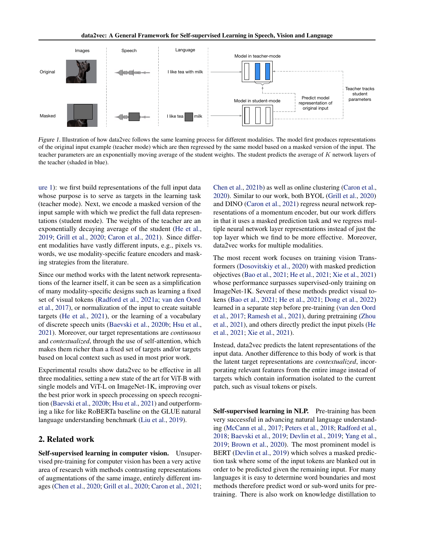<span id="page-1-0"></span>

[Figure 1.](#page-1-0) Illustration of how data2vec follows the same learning process for different modalities. The model first produces representations of the original input example (teacher mode) which are then regressed by the same model based on a masked version of the input. The teacher parameters are an exponentially moving average of the student weights. The student predicts the average of K network layers of the teacher (shaded in blue).

[ure 1\)](#page-1-0): we first build representations of the full input data whose purpose is to serve as targets in the learning task (teacher mode). Next, we encode a masked version of the input sample with which we predict the full data representations (student mode). The weights of the teacher are an exponentially decaying average of the student [\(He et al.,](#page-10-7) [2019;](#page-10-7) [Grill et al.,](#page-9-8) [2020;](#page-9-8) [Caron et al.,](#page-9-5) [2021\)](#page-9-5). Since different modalities have vastly different inputs, e.g., pixels vs. words, we use modality-specific feature encoders and masking strategies from the literature.

Since our method works with the latent network representations of the learner itself, it can be seen as a simplification of many modality-specific designs such as learning a fixed set of visual tokens [\(Radford et al.,](#page-10-5) [2021a;](#page-10-5) [van den Oord](#page-11-3) [et al.,](#page-11-3) [2017\)](#page-11-3), or normalization of the input to create suitable targets [\(He et al.,](#page-10-2) [2021\)](#page-10-2), or the learning of a vocabulary of discrete speech units [\(Baevski et al.,](#page-9-2) [2020b;](#page-9-2) [Hsu et al.,](#page-10-4) [2021\)](#page-10-4). Moreover, our target representations are *continuous* and *contextualized*, through the use of self-attention, which makes them richer than a fixed set of targets and/or targets based on local context such as used in most prior work.

Experimental results show data2vec to be effective in all three modalities, setting a new state of the art for ViT-B with single models and ViT-L on ImageNet-1K, improving over the best prior work in speech processing on speech recognition [\(Baevski et al.,](#page-9-2) [2020b;](#page-9-2) [Hsu et al.,](#page-10-4) [2021\)](#page-10-4) and outperforming a like for like RoBERTa baseline on the GLUE natural language understanding benchmark [\(Liu et al.,](#page-10-8) [2019\)](#page-10-8).

# <span id="page-1-1"></span>2. Related work

Self-supervised learning in computer vision. Unsupervised pre-training for computer vision has been a very active area of research with methods contrasting representations of augmentations of the same image, entirely different images [\(Chen et al.,](#page-9-3) [2020;](#page-9-3) [Grill et al.,](#page-9-8) [2020;](#page-9-8) [Caron et al.,](#page-9-5) [2021;](#page-9-5) [Chen et al.,](#page-9-4) [2021b\)](#page-9-4) as well as online clustering [\(Caron et al.,](#page-9-11) [2020\)](#page-9-11). Similar to our work, both BYOL [\(Grill et al.,](#page-9-8) [2020\)](#page-9-8) and DINO [\(Caron et al.,](#page-9-5) [2021\)](#page-9-5) regress neural network representations of a momentum encoder, but our work differs in that it uses a masked prediction task and we regress multiple neural network layer representations instead of just the top layer which we find to be more effective. Moreover, data2vec works for multiple modalities.

The most recent work focuses on training vision Transformers [\(Dosovitskiy et al.,](#page-9-12) [2020\)](#page-9-12) with masked prediction objectives [\(Bao et al.,](#page-9-6) [2021;](#page-9-6) [He et al.,](#page-10-2) [2021;](#page-10-2) [Xie et al.,](#page-11-4) [2021\)](#page-11-4) whose performance surpasses supervised-only training on ImageNet-1K. Several of these methods predict visual tokens [\(Bao et al.,](#page-9-6) [2021;](#page-9-6) [He et al.,](#page-10-2) [2021;](#page-10-2) [Dong et al.,](#page-9-13) [2022\)](#page-9-13) learned in a separate step before pre-training [\(van den Oord](#page-11-3) [et al.,](#page-11-3) [2017;](#page-11-3) [Ramesh et al.,](#page-11-5) [2021\)](#page-11-5), during pretraining [\(Zhou](#page-11-6) [et al.,](#page-11-6) [2021\)](#page-11-6), and others directly predict the input pixels [\(He](#page-10-2) [et al.,](#page-10-2) [2021;](#page-10-2) [Xie et al.,](#page-11-4) [2021\)](#page-11-4).

Instead, data2vec predicts the latent representations of the input data. Another difference to this body of work is that the latent target representations are *contextualized*, incorporating relevant features from the entire image instead of targets which contain information isolated to the current patch, such as visual tokens or pixels.

Self-supervised learning in NLP. Pre-training has been very successful in advancing natural language understanding [\(McCann et al.,](#page-10-9) [2017;](#page-10-9) [Peters et al.,](#page-10-0) [2018;](#page-10-0) [Radford et al.,](#page-10-1) [2018;](#page-10-1) [Baevski et al.,](#page-8-0) [2019;](#page-8-0) [Devlin et al.,](#page-9-0) [2019;](#page-9-0) [Yang et al.,](#page-11-7) [2019;](#page-11-7) [Brown et al.,](#page-9-1) [2020\)](#page-9-1). The most prominent model is BERT [\(Devlin et al.,](#page-9-0) [2019\)](#page-9-0) which solves a masked prediction task where some of the input tokens are blanked out in order to be predicted given the remaining input. For many languages it is easy to determine word boundaries and most methods therefore predict word or sub-word units for pretraining. There is also work on knowledge distillation to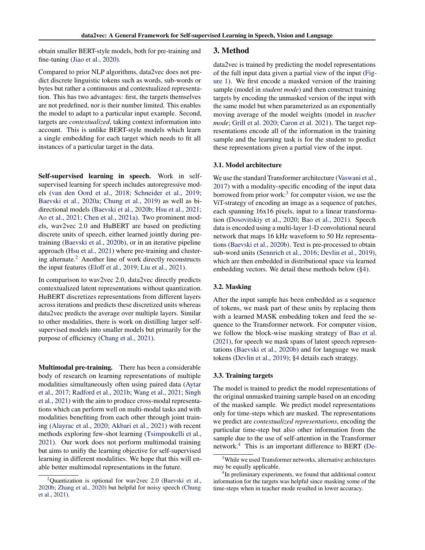obtain smaller BERT-style models, both for pre-training and fine-tuning [\(Jiao et al.,](#page-10-10) [2020\)](#page-10-10).

Compared to prior NLP algorithms, data2vec does not predict discrete linguistic tokens such as words, sub-words or bytes but rather a continuous and contextualized representation. This has two advantages: first, the targets themselves are not predefined, nor is their number limited. This enables the model to adapt to a particular input example. Second, targets are *contextualized*, taking context information into account. This is unlike BERT-style models which learn a single embedding for each target which needs to fit all instances of a particular target in the data.

Self-supervised learning in speech. Work in selfsupervised learning for speech includes autoregressive models [\(van den Oord et al.,](#page-11-0) [2018;](#page-11-0) [Schneider et al.,](#page-11-1) [2019;](#page-11-1) [Baevski et al.,](#page-8-1) [2020a;](#page-8-1) [Chung et al.,](#page-9-14) [2019\)](#page-9-14) as well as bidirectional models [\(Baevski et al.,](#page-9-2) [2020b;](#page-9-2) [Hsu et al.,](#page-10-4) [2021;](#page-10-4) [Ao et al.,](#page-8-2) [2021;](#page-8-2) [Chen et al.,](#page-9-15) [2021a\)](#page-9-15). Two prominent models, wav2vec 2.0 and HuBERT are based on predicting discrete units of speech, either learned jointly during pretraining [\(Baevski et al.,](#page-9-2) [2020b\)](#page-9-2), or in an iterative pipeline approach [\(Hsu et al.,](#page-10-4) [2021\)](#page-10-4) where pre-training and clustering alternate.[2](#page-2-0) Another line of work directly reconstructs the input features [\(Eloff et al.,](#page-9-16) [2019;](#page-9-16) [Liu et al.,](#page-10-11) [2021\)](#page-10-11).

In comparison to wav2vec 2.0, data2vec directly predicts contextualized latent representations without quantization. HuBERT discretizes representations from different layers across iterations and predicts these discretized units whereas data2vec predicts the average over multiple layers. Similar to other modalities, there is work on distilling larger selfsupervised models into smaller models but primarily for the purpose of efficiency [\(Chang et al.,](#page-9-17) [2021\)](#page-9-17).

Multimodal pre-training. There has been a considerable body of research on learning representations of multiple modalities simultaneously often using paired data [\(Aytar](#page-8-3) [et al.,](#page-8-3) [2017;](#page-8-3) [Radford et al.,](#page-11-8) [2021b;](#page-11-8) [Wang et al.,](#page-11-9) [2021;](#page-11-9) [Singh](#page-11-10) [et al.,](#page-11-10) [2021\)](#page-11-10) with the aim to produce cross-modal representations which can perform well on multi-modal tasks and with modalities benefiting from each other through joint training [\(Alayrac et al.,](#page-8-4) [2020;](#page-8-4) [Akbari et al.,](#page-8-5) [2021\)](#page-8-5) with recent methods exploring few-shot learning [\(Tsimpoukelli et al.,](#page-11-11) [2021\)](#page-11-11). Our work does not perform multimodal training but aims to unifiy the learning objective for self-supervised learning in different modalities. We hope that this will enable better multimodal representations in the future.

#### 3. Method

data2vec is trained by predicting the model representations of the full input data given a partial view of the input [\(Fig](#page-1-0)[ure 1\)](#page-1-0). We first encode a masked version of the training sample (model in *student mode*) and then construct training targets by encoding the unmasked version of the input with the same model but when parameterized as an exponentially moving average of the model weights (model in *teacher mode*; [Grill et al.](#page-9-8) [2020;](#page-9-8) [Caron et al.](#page-9-5) [2021\)](#page-9-5). The target representations encode all of the information in the training sample and the learning task is for the student to predict these representations given a partial view of the input.

### 3.1. Model architecture

We use the standard Transformer architecture [\(Vaswani et al.,](#page-11-2) [2017\)](#page-11-2) with a modality-specific encoding of the input data borrowed from prior work:<sup>[3](#page-2-1)</sup> for computer vision, we use the ViT-strategy of encoding an image as a sequence of patches, each spanning 16x16 pixels, input to a linear transformation [\(Dosovitskiy et al.,](#page-9-12) [2020;](#page-9-12) [Bao et al.,](#page-9-6) [2021\)](#page-9-6). Speech data is encoded using a multi-layer 1-D convolutional neural network that maps 16 kHz waveform to 50 Hz representations [\(Baevski et al.,](#page-9-2) [2020b\)](#page-9-2). Text is pre-processed to obtain sub-word units [\(Sennrich et al.,](#page-11-13) [2016;](#page-11-13) [Devlin et al.,](#page-9-0) [2019\)](#page-9-0), which are then embedded in distributional space via learned embedding vectors. We detail these methods below ([§4\)](#page-3-0).

#### 3.2. Masking

After the input sample has been embedded as a sequence of tokens, we mask part of these units by replacing them with a learned MASK embedding token and feed the sequence to the Transformer network. For computer vision, we follow the block-wise masking strategy of [Bao et al.](#page-9-6) [\(2021\)](#page-9-6), for speech we mask spans of latent speech representations [\(Baevski et al.,](#page-9-2) [2020b\)](#page-9-2) and for language we mask tokens [\(Devlin et al.,](#page-9-0) [2019\)](#page-9-0); [§4](#page-3-0) details each strategy.

#### <span id="page-2-3"></span>3.3. Training targets

The model is trained to predict the model representations of the original unmasked training sample based on an encoding of the masked sample. We predict model representations only for time-steps which are masked. The representations we predict are *contextualized representations*, encoding the particular time-step but also other information from the sample due to the use of self-attention in the Transformer network.[4](#page-2-2) This is an important difference to BERT [\(De-](#page-9-0)

<span id="page-2-0"></span>Quantization is optional for wav2vec 2.0 [\(Baevski et al.,](#page-9-2) [2020b;](#page-9-2) [Zhang et al.,](#page-11-12) [2020\)](#page-11-12) but helpful for noisy speech [\(Chung](#page-9-18) [et al.,](#page-9-18) [2021\)](#page-9-18)[.](#page-9-0)

<span id="page-2-1"></span><sup>&</sup>lt;sup>3</sup>[While we used Transformer networks, alternative architectures](#page-9-0) [may be equally applicable.](#page-9-0)

<span id="page-2-2"></span><sup>&</sup>lt;sup>4</sup>[In preliminary experiments, we found that additional context](#page-9-0) [information for the targets was helpful since masking some of the](#page-9-0) [time-steps when in teacher mode resulted in lower accuracy.](#page-9-0)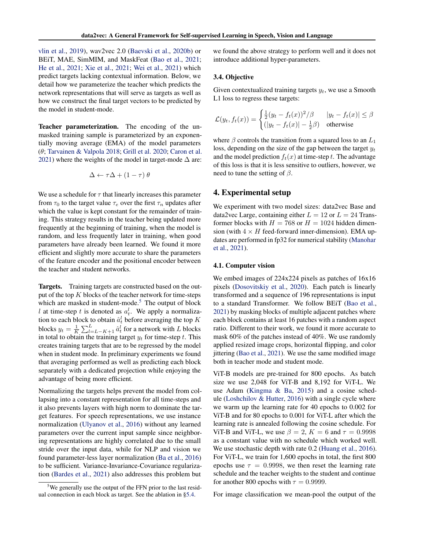[vlin et al.,](#page-9-0) [2019\)](#page-9-0), wav2vec 2.0 [\(Baevski et al.,](#page-9-2) [2020b\)](#page-9-2) or BEiT, MAE, SimMIM, and MaskFeat [\(Bao et al.,](#page-9-6) [2021;](#page-9-6) [He et al.,](#page-10-2) [2021;](#page-10-2) [Xie et al.,](#page-11-4) [2021;](#page-11-4) [Wei et al.,](#page-11-14) [2021\)](#page-11-14) which predict targets lacking contextual information. Below, we detail how we parameterize the teacher which predicts the network representations that will serve as targets as well as how we construct the final target vectors to be predicted by the model in student-mode.

Teacher parameterization. The encoding of the unmasked training sample is parameterized by an exponentially moving average (EMA) of the model parameters (θ; [Tarvainen & Valpola](#page-11-15) [2018;](#page-11-15) [Grill et al.](#page-9-8) [2020;](#page-9-8) [Caron et al.](#page-9-5) [2021\)](#page-9-5) where the weights of the model in target-mode  $\Delta$  are:

$$
\Delta \leftarrow \tau \Delta + (1 - \tau) \theta
$$

We use a schedule for  $\tau$  that linearly increases this parameter from  $\tau_0$  to the target value  $\tau_e$  over the first  $\tau_n$  updates after which the value is kept constant for the remainder of training. This strategy results in the teacher being updated more frequently at the beginning of training, when the model is random, and less frequently later in training, when good parameters have already been learned. We found it more efficient and slightly more accurate to share the parameters of the feature encoder and the positional encoder between the teacher and student networks.

Targets. Training targets are constructed based on the output of the top  $K$  blocks of the teacher network for time-steps which are masked in student-mode.<sup>[5](#page-3-1)</sup> The output of block l at time-step t is denoted as  $a_t^l$ . We apply a normalization to each block to obtain  $\hat{a}_t^l$  before averaging the top K blocks  $y_t = \frac{1}{K} \sum_{l=L-K+1}^{L} \hat{a}_t^l$  for a network with L blocks in total to obtain the training target  $y_t$  for time-step t. This creates training targets that are to be regressed by the model when in student mode. In preliminary experiments we found that averaging performed as well as predicting each block separately with a dedicated projection while enjoying the advantage of being more efficient.

Normalizing the targets helps prevent the model from collapsing into a constant representation for all time-steps and it also prevents layers with high norm to dominate the target features. For speech representations, we use instance normalization [\(Ulyanov et al.,](#page-11-16) [2016\)](#page-11-16) without any learned parameters over the current input sample since neighboring representations are highly correlated due to the small stride over the input data, while for NLP and vision we found parameter-less layer normalization [\(Ba et al.,](#page-8-6) [2016\)](#page-8-6) to be sufficient. Variance-Invariance-Covariance regularization [\(Bardes et al.,](#page-9-19) [2021\)](#page-9-19) also addresses this problem but

we found the above strategy to perform well and it does not introduce additional hyper-parameters.

### 3.4. Objective

Given contextualized training targets  $y_t$ , we use a Smooth L1 loss to regress these targets:

$$
\mathcal{L}(y_t, f_t(x)) = \begin{cases} \frac{1}{2}(y_t - f_t(x))^2/\beta & |y_t - f_t(x)| \le \beta \\ (|y_t - f_t(x)| - \frac{1}{2}\beta) & \text{otherwise} \end{cases}
$$

where  $\beta$  controls the transition from a squared loss to an  $L_1$ loss, depending on the size of the gap between the target  $y_t$ and the model prediction  $f_t(x)$  at time-step t. The advantage of this loss is that it is less sensitive to outliers, however, we need to tune the setting of  $\beta$ .

# <span id="page-3-0"></span>4. Experimental setup

We experiment with two model sizes: data2vec Base and data2vec Large, containing either  $L = 12$  or  $L = 24$  Transformer blocks with  $H = 768$  or  $H = 1024$  hidden dimension (with  $4 \times H$  feed-forward inner-dimension). EMA updates are performed in fp32 for numerical stability [\(Manohar](#page-10-12) [et al.,](#page-10-12) [2021\)](#page-10-12).

#### <span id="page-3-2"></span>4.1. Computer vision

We embed images of 224x224 pixels as patches of 16x16 pixels [\(Dosovitskiy et al.,](#page-9-12) [2020\)](#page-9-12). Each patch is linearly transformed and a sequence of 196 representations is input to a standard Transformer. We follow BEiT [\(Bao et al.,](#page-9-6) [2021\)](#page-9-6) by masking blocks of multiple adjacent patches where each block contains at least 16 patches with a random aspect ratio. Different to their work, we found it more accurate to mask 60% of the patches instead of 40%. We use randomly applied resized image crops, horizontal flipping, and color jittering [\(Bao et al.,](#page-9-6) [2021\)](#page-9-6). We use the same modified image both in teacher mode and student mode.

ViT-B models are pre-trained for 800 epochs. As batch size we use 2,048 for ViT-B and 8,192 for ViT-L. We use Adam [\(Kingma & Ba,](#page-10-13) [2015\)](#page-10-13) and a cosine schedule [\(Loshchilov & Hutter,](#page-10-14) [2016\)](#page-10-14) with a single cycle where we warm up the learning rate for 40 epochs to 0.002 for ViT-B and for 80 epochs to 0.001 for ViT-L after which the learning rate is annealed following the cosine schedule. For ViT-B and ViT-L, we use  $\beta = 2$ ,  $K = 6$  and  $\tau = 0.9998$ as a constant value with no schedule which worked well. We use stochastic depth with rate 0.2 [\(Huang et al.,](#page-10-15) [2016\)](#page-10-15). For ViT-L, we train for 1,600 epochs in total, the first 800 epochs use  $\tau = 0.9998$ , we then reset the learning rate schedule and the teacher weights to the student and continue for another 800 epochs with  $\tau = 0.9999$ .

For image classification we mean-pool the output of the

<span id="page-3-1"></span> $5$ We generally use the output of the FFN prior to the last residual connection in each block as target. See the ablation in [§5.4.](#page-6-0)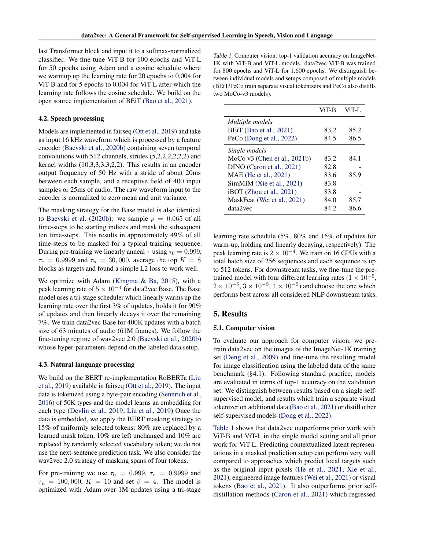last Transformer block and input it to a softmax-normalized classifier. We fine-tune ViT-B for 100 epochs and ViT-L for 50 epochs using Adam and a cosine schedule where we warmup up the learning rate for 20 epochs to 0.004 for ViT-B and for 5 epochs to 0.004 for ViT-L after which the learning rate follows the cosine schedule. We build on the open source implementation of BEiT [\(Bao et al.,](#page-9-6) [2021\)](#page-9-6).

#### 4.2. Speech processing

Models are implemented in fairseq [\(Ott et al.,](#page-10-16) [2019\)](#page-10-16) and take as input 16 kHz waveform which is processed by a feature encoder [\(Baevski et al.,](#page-9-2) [2020b\)](#page-9-2) containing seven temporal convolutions with 512 channels, strides (5,2,2,2,2,2,2) and kernel widths (10,3,3,3,3,2,2). This results in an encoder output frequency of 50 Hz with a stride of about 20ms between each sample, and a receptive field of 400 input samples or 25ms of audio. The raw waveform input to the encoder is normalized to zero mean and unit variance.

The masking strategy for the Base model is also identical to [Baevski et al.](#page-9-2) [\(2020b\)](#page-9-2): we sample  $p = 0.065$  of all time-steps to be starting indices and mask the subsequent ten time-steps. This results in approximately 49% of all time-steps to be masked for a typical training sequence. During pre-training we linearly anneal  $\tau$  using  $\tau_0 = 0.999$ ,  $\tau_e = 0.9999$  and  $\tau_n = 30,000$ , average the top  $K = 8$ blocks as targets and found a simple L2 loss to work well.

We optimize with Adam [\(Kingma & Ba,](#page-10-13) [2015\)](#page-10-13), with a peak learning rate of  $5 \times 10^{-4}$  for data2vec Base. The Base model uses a tri-stage scheduler which linearly warms up the learning rate over the first 3% of updates, holds it for 90% of updates and then linearly decays it over the remaining 7%. We train data2vec Base for 400K updates with a batch size of 63 minutes of audio (61M frames). We follow the fine-tuning regime of wav2vec 2.0 [\(Baevski et al.,](#page-9-2) [2020b\)](#page-9-2) whose hyper-parameters depend on the labeled data setup.

### <span id="page-4-1"></span>4.3. Natural language processing

We build on the BERT re-implementation RoBERTa [\(Liu](#page-10-8) [et al.,](#page-10-8) [2019\)](#page-10-8) available in fairseq [\(Ott et al.,](#page-10-16) [2019\)](#page-10-16). The input data is tokenized using a byte-pair encoding [\(Sennrich et al.,](#page-11-13) [2016\)](#page-11-13) of 50K types and the model learns an embedding for each type [\(Devlin et al.,](#page-9-0) [2019;](#page-9-0) [Liu et al.,](#page-10-8) [2019\)](#page-10-8) Once the data is embedded, we apply the BERT masking strategy to 15% of uniformly selected tokens: 80% are replaced by a learned mask token, 10% are left unchanged and 10% are replaced by randomly selected vocabulary token; we do not use the next-sentence prediction task. We also consider the wav2vec 2.0 strategy of masking spans of four tokens.

For pre-training we use  $\tau_0 = 0.999$ ,  $\tau_e = 0.9999$  and  $\tau_n = 100,000, K = 10$  and set  $\beta = 4$ . The model is optimized with Adam over 1M updates using a tri-stage

<span id="page-4-0"></span>Table 1. Computer vision: top-1 validation accuracy on ImageNet-1K with ViT-B and ViT-L models. data2vec ViT-B was trained for 800 epochs and ViT-L for 1,600 epochs. We distinguish between individual models and setups composed of multiple models (BEiT/PeCo train separate visual tokenizers and PeCo also distills two MoCo-v3 models).

|                                | ViT-B | $ViT-I$ . |
|--------------------------------|-------|-----------|
| Multiple models                |       |           |
| <b>BEiT</b> (Bao et al., 2021) | 83.2  | 85.2      |
| PeCo (Dong et al., $2022$ )    | 84.5  | 86.5      |
| Single models                  |       |           |
| MoCo $v3$ (Chen et al., 2021b) | 83.2  | 84.1      |
| DINO (Caron et al., 2021)      | 82.8  |           |
| MAE (He et al., 2021)          | 83.6  | 85.9      |
| SimMIM (Xie et al., 2021)      | 83.8  |           |
| $i$ BOT (Zhou et al., 2021)    | 83.8  |           |
| MaskFeat (Wei et al., 2021)    | 84.0  | 85.7      |
| data2vec                       | 84.2  | 86.6      |

learning rate schedule (5%, 80% and 15% of updates for warm-up, holding and linearly decaying, respectively). The peak learning rate is  $2 \times 10^{-4}$ . We train on 16 GPUs with a total batch size of 256 sequences and each sequence is up to 512 tokens. For downstream tasks, we fine-tune the pretrained model with four different learning rates ( $1 \times 10^{-5}$ ,  $2 \times 10^{-5}$ ,  $3 \times 10^{-5}$ ,  $4 \times 10^{-5}$ ) and choose the one which performs best across all considered NLP downstream tasks.

# <span id="page-4-2"></span>5. Results

### 5.1. Computer vision

To evaluate our approach for computer vision, we pretrain data2vec on the images of the ImageNet-1K training set [\(Deng et al.,](#page-9-20) [2009\)](#page-9-20) and fine-tune the resulting model for image classification using the labeled data of the same benchmark ([§4.1\)](#page-3-2). Following standard practice, models are evaluated in terms of top-1 accuracy on the validation set. We distinguish between results based on a single selfsupervised model, and results which train a separate visual tokenizer on additional data [\(Bao et al.,](#page-9-6) [2021\)](#page-9-6) or distill other self-supervised models [\(Dong et al.,](#page-9-13) [2022\)](#page-9-13).

[Table 1](#page-4-0) shows that data2vec outperforms prior work with ViT-B and ViT-L in the single model setting and all prior work for ViT-L. Predicting contextualized latent representations in a masked prediction setup can perform very well compared to approaches which predict local targets such as the original input pixels [\(He et al.,](#page-10-2) [2021;](#page-10-2) [Xie et al.,](#page-11-4) [2021\)](#page-11-4), engineered image features [\(Wei et al.,](#page-11-14) [2021\)](#page-11-14) or visual tokens [\(Bao et al.,](#page-9-6) [2021\)](#page-9-6). It also outperforms prior selfdistillation methods [\(Caron et al.,](#page-9-5) [2021\)](#page-9-5) which regressed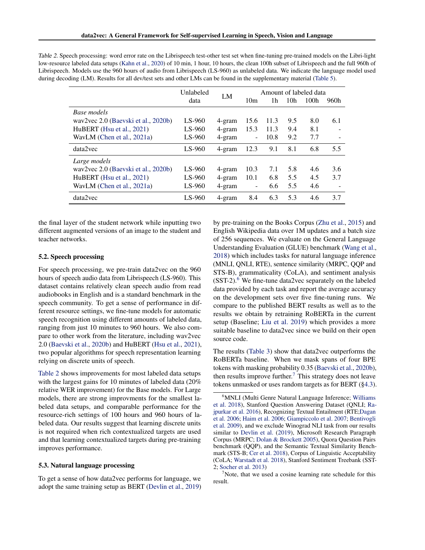<span id="page-5-0"></span>Table 2. Speech processing: word error rate on the Librispeech test-other test set when fine-tuning pre-trained models on the Libri-light low-resource labeled data setups [\(Kahn et al.,](#page-10-17) [2020\)](#page-10-17) of 10 min, 1 hour, 10 hours, the clean 100h subset of Librispeech and the full 960h of Librispeech. Models use the 960 hours of audio from Librispeech (LS-960) as unlabeled data. We indicate the language model used during decoding (LM). Results for all dev/test sets and other LMs can be found in the supplementary material [\(Table 5\)](#page-13-0).

|                                     | Unlabeled | LM     | Amount of labeled data   |      |                 |                  |      |
|-------------------------------------|-----------|--------|--------------------------|------|-----------------|------------------|------|
|                                     | data      |        | 10 <sub>m</sub>          | 1h   | 10 <sub>h</sub> | 100 <sub>h</sub> | 960h |
| Base models                         |           |        |                          |      |                 |                  |      |
| wav2vec 2.0 (Baevski et al., 2020b) | $LS-960$  | 4-gram | 15.6                     | 11.3 | 9.5             | 8.0              | 6.1  |
| HuBERT (Hsu et al., 2021)           | $LS-960$  | 4-gram | 15.3                     | 11.3 | 9.4             | 8.1              |      |
| WavLM (Chen et al., 2021a)          | $LS-960$  | 4-gram | $\overline{\phantom{a}}$ | 10.8 | 9.2             | 7.7              |      |
| data2vec                            | $LS-960$  | 4-gram | 12.3                     | 9.1  | 8.1             | 6.8              | 5.5  |
| Large models                        |           |        |                          |      |                 |                  |      |
| wav2vec 2.0 (Baevski et al., 2020b) | $LS-960$  | 4-gram | 10.3                     | 7.1  | 5.8             | 4.6              | 3.6  |
| HuBERT (Hsu et al., 2021)           | $LS-960$  | 4-gram | 10.1                     | 6.8  | 5.5             | 4.5              | 3.7  |
| WavLM (Chen et al., 2021a)          | $LS-960$  | 4-gram | ٠                        | 6.6  | 5.5             | 4.6              |      |
| data2vec                            | $LS-960$  | 4-gram | 8.4                      | 6.3  | 5.3             | 4.6              | 3.7  |

the final layer of the student network while inputting two different augmented versions of an image to the student and teacher networks.

### 5.2. Speech processing

For speech processing, we pre-train data2vec on the 960 hours of speech audio data from Librispeech (LS-960). This dataset contains relatively clean speech audio from read audiobooks in English and is a standard benchmark in the speech community. To get a sense of performance in different resource settings, we fine-tune models for automatic speech recognition using different amounts of labeled data, ranging from just 10 minutes to 960 hours. We also compare to other work from the literature, including wav2vec 2.0 [\(Baevski et al.,](#page-9-2) [2020b\)](#page-9-2) and HuBERT [\(Hsu et al.,](#page-10-4) [2021\)](#page-10-4), two popular algorithms for speech representation learning relying on discrete units of speech.

[Table 2](#page-5-0) shows improvements for most labeled data setups with the largest gains for 10 minutes of labeled data (20% relative WER improvement) for the Base models. For Large models, there are strong improvments for the smallest labeled data setups, and comparable performance for the resource-rich settings of 100 hours and 960 hours of labeled data. Our results suggest that learning discrete units is not required when rich contextualized targets are used and that learning contextualized targets during pre-training improves performance.

### <span id="page-5-3"></span>5.3. Natural language processing

To get a sense of how data2vec performs for language, we adopt the same training setup as BERT [\(Devlin et al.,](#page-9-0) [2019\)](#page-9-0) by pre-training on the Books Corpus [\(Zhu et al.,](#page-12-0) [2015\)](#page-12-0) and English Wikipedia data over 1M updates and a batch size of 256 sequences. We evaluate on the General Language Understanding Evaluation (GLUE) benchmark [\(Wang et al.,](#page-11-17) [2018\)](#page-11-17) which includes tasks for natural language inference (MNLI, QNLI, RTE), sentence similarity (MRPC, QQP and STS-B), grammaticality (CoLA), and sentiment analysis  $(SST-2)$ <sup>[6](#page-5-1)</sup>. We fine-tune data2vec separately on the labeled data provided by each task and report the average accuracy on the development sets over five fine-tuning runs. We compare to the published BERT results as well as to the results we obtain by retraining RoBERTa in the current setup (Baseline; [Liu et al.](#page-10-8) [2019\)](#page-10-8) which provides a more suitable baseline to data2vec since we build on their open source code.

The results [\(Table 3\)](#page-6-1) show that data2vec outperforms the RoBERTa baseline. When we mask spans of four BPE tokens with masking probability 0.35 [\(Baevski et al.,](#page-9-2) [2020b\)](#page-9-2), then results improve further. $\frac{7}{1}$  $\frac{7}{1}$  $\frac{7}{1}$  This strategy does not leave tokens unmasked or uses random targets as for BERT ([§4.3\)](#page-4-1).

<span id="page-5-2"></span> $\alpha$ <sup>7</sup>Note, that we used a cosine learning rate schedule for this result.

<span id="page-5-1"></span><sup>&</sup>lt;sup>6</sup>MNLI (Multi Genre Natural Language Inference; [Williams](#page-11-18) [et al.](#page-11-18) [2018\)](#page-11-18), Stanford Question Answering Dataset (QNLI; [Ra](#page-11-19)[jpurkar et al.](#page-11-19) [2016\)](#page-11-19), Recognizing Textual Entailment (RTE[;Dagan](#page-9-21) [et al.](#page-9-21) [2006;](#page-9-21) [Haim et al.](#page-10-18) [2006;](#page-10-18) [Giampiccolo et al.](#page-9-22) [2007;](#page-9-22) [Bentivogli](#page-9-23) [et al.](#page-9-23) [2009\)](#page-9-23), and we exclude Winograd NLI task from our results similar to [Devlin et al.](#page-9-0) [\(2019\)](#page-9-0), Microsoft Research Paragraph Corpus (MRPC; [Dolan & Brockett](#page-9-24) [2005\)](#page-9-24), Quora Question Pairs benchmark (QQP), and the Semantic Textual Similarity Benchmark (STS-B; [Cer et al.](#page-9-25) [2018\)](#page-9-25), Corpus of Linguistic Acceptability (CoLA; [Warstadt et al.](#page-11-20) [2018\)](#page-11-20), Stanford Sentiment Treebank (SST-2; [Socher et al.](#page-11-21) [2013\)](#page-11-21)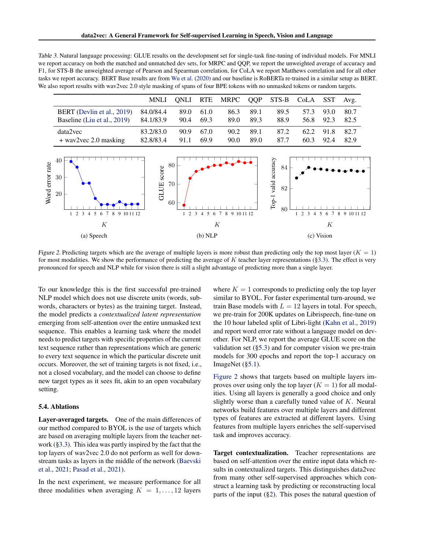<span id="page-6-1"></span>Table 3. Natural language processing: GLUE results on the development set for single-task fine-tuning of individual models. For MNLI we report accuracy on both the matched and unmatched dev sets, for MRPC and QQP, we report the unweighted average of accuracy and F1, for STS-B the unweighted average of Pearson and Spearman correlation, for CoLA we report Matthews correlation and for all other tasks we report accuracy. BERT Base results are from [Wu et al.](#page-11-22) [\(2020\)](#page-11-22) and our baseline is RoBERTa re-trained in a similar setup as BERT. We also report results with wav2vec 2.0 style masking of spans of four BPE tokens with no unmasked tokens or random targets.

|                             | MNLI -    |      |      | QNLI RTE MRPC QQP STS-B CoLA SST |      |      |      |      | Avg. |
|-----------------------------|-----------|------|------|----------------------------------|------|------|------|------|------|
| BERT (Devlin et al., 2019)  | 84.0/84.4 | 89.0 | 61.0 | 86.3                             | 89.1 | 89.5 | 57.3 | 93.0 | 80.7 |
| Baseline (Liu et al., 2019) | 84.1/83.9 | 90.4 | 69.3 | 89.0                             | 89.3 | 88.9 | 56.8 | 92.3 | 82.5 |
| data2vec                    | 83.2/83.0 | 90.9 | 67.0 | 90.2                             | 89.1 | 87.2 | 62.2 | 91.8 | 82.7 |
| $+$ wav2vec 2.0 masking     | 82.8/83.4 | 91.1 | 69.9 | 90.0                             | 89.0 | 87.7 | 60.3 | 92.4 | 82.9 |

<span id="page-6-2"></span>

Figure 2. Predicting targets which are the average of multiple layers is more robust than predicting only the top most layer ( $K = 1$ ) for most modalities. We show the performance of predicting the average of  $K$  teacher layer representations ([§3.3\)](#page-2-3). The effect is very pronounced for speech and NLP while for vision there is still a slight advantage of predicting more than a single layer.

To our knowledge this is the first successful pre-trained NLP model which does not use discrete units (words, subwords, characters or bytes) as the training target. Instead, the model predicts a *contextualized latent representation* emerging from self-attention over the entire unmasked text sequence. This enables a learning task where the model needs to predict targets with specific properties of the current text sequence rather than representations which are generic to every text sequence in which the particular discrete unit occurs. Moreover, the set of training targets is not fixed, i.e., not a closed vocabulary, and the model can choose to define new target types as it sees fit, akin to an open vocabulary setting.

#### <span id="page-6-0"></span>5.4. Ablations

Layer-averaged targets. One of the main differences of our method compared to BYOL is the use of targets which are based on averaging multiple layers from the teacher network ([§3.3\)](#page-2-3). This idea was partly inspired by the fact that the top layers of wav2vec 2.0 do not perform as well for downstream tasks as layers in the middle of the network [\(Baevski](#page-9-7) [et al.,](#page-9-7) [2021;](#page-9-7) [Pasad et al.,](#page-10-19) [2021\)](#page-10-19).

In the next experiment, we measure performance for all three modalities when averaging  $K = 1, \ldots, 12$  layers

where  $K = 1$  corresponds to predicting only the top layer similar to BYOL. For faster experimental turn-around, we train Base models with  $L = 12$  layers in total. For speech, we pre-train for 200K updates on Librispeech, fine-tune on the 10 hour labeled split of Libri-light [\(Kahn et al.,](#page-10-20) [2019\)](#page-10-20) and report word error rate without a language model on devother. For NLP, we report the average GLUE score on the validation set ([§5.3\)](#page-5-3) and for computer vision we pre-train models for 300 epochs and report the top-1 accuracy on ImageNet ([§5.1\)](#page-4-2).

[Figure 2](#page-6-2) shows that targets based on multiple layers improves over using only the top layer  $(K = 1)$  for all modalities. Using all layers is generally a good choice and only slightly worse than a carefully tuned value of  $K$ . Neural networks build features over multiple layers and different types of features are extracted at different layers. Using features from multiple layers enriches the self-supervised task and improves accuracy.

Target contextualization. Teacher representations are based on self-attention over the entire input data which results in contextualized targets. This distinguishes data2vec from many other self-supervised approaches which construct a learning task by predicting or reconstructing local parts of the input  $(\S 2)$ . This poses the natural question of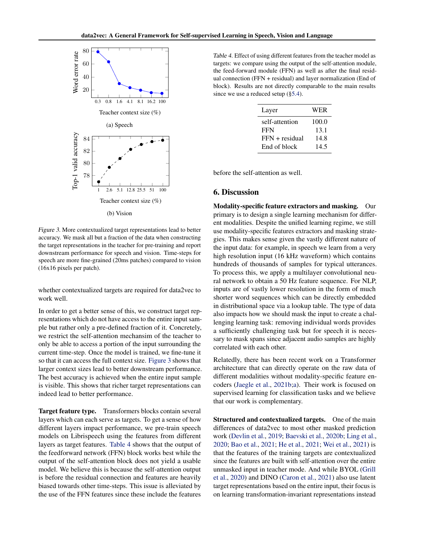<span id="page-7-0"></span>

Figure 3. More contextualized target representations lead to better accuracy. We mask all but a fraction of the data when constructing the target representations in the teacher for pre-training and report downstream performance for speech and vision. Time-steps for speech are more fine-grained (20ms patches) compared to vision (16x16 pixels per patch).

whether contextualized targets are required for data2vec to work well.

In order to get a better sense of this, we construct target representations which do not have access to the entire input sample but rather only a pre-defined fraction of it. Concretely, we restrict the self-attention mechansim of the teacher to only be able to access a portion of the input surrounding the current time-step. Once the model is trained, we fine-tune it so that it can access the full context size. [Figure 3](#page-7-0) shows that larger context sizes lead to better downstream performance. The best accuracy is achieved when the entire input sample is visible. This shows that richer target representations can indeed lead to better performance.

Target feature type. Transformers blocks contain several layers which can each serve as targets. To get a sense of how different layers impact performance, we pre-train speech models on Librispeech using the features from different layers as target features. [Table 4](#page-7-1) shows that the output of the feedforward network (FFN) block works best while the output of the self-attention block does not yield a usable model. We believe this is because the self-attention output is before the residual connection and features are heavily biased towards other time-steps. This issue is alleviated by the use of the FFN features since these include the features

<span id="page-7-1"></span>Table 4. Effect of using different features from the teacher model as targets: we compare using the output of the self-attention module, the feed-forward module (FFN) as well as after the final residual connection (FFN + residual) and layer normalization (End of block). Results are not directly comparable to the main results since we use a reduced setup ([§5.4\)](#page-6-0).

| Layer            | <b>WER</b> |
|------------------|------------|
| self-attention   | 100.0      |
| <b>FFN</b>       | 13.1       |
| $FFN + residual$ | 14.8       |
| End of block     | 14.5       |
|                  |            |

before the self-attention as well.

### 6. Discussion

Modality-specific feature extractors and masking. Our primary is to design a single learning mechanism for different modalities. Despite the unified learning regime, we still use modality-specific features extractors and masking strategies. This makes sense given the vastly different nature of the input data: for example, in speech we learn from a very high resolution input (16 kHz waveform) which contains hundreds of thousands of samples for typical utterances. To process this, we apply a multilayer convolutional neural network to obtain a 50 Hz feature sequence. For NLP, inputs are of vastly lower resolution in the form of much shorter word sequences which can be directly embedded in distributional space via a lookup table. The type of data also impacts how we should mask the input to create a challenging learning task: removing individual words provides a sufficiently challenging task but for speech it is necessary to mask spans since adjacent audio samples are highly correlated with each other.

Relatedly, there has been recent work on a Transformer architecture that can directly operate on the raw data of different modalities without modality-specific feature encoders [\(Jaegle et al.,](#page-10-6) [2021b;](#page-10-6)[a\)](#page-10-21). Their work is focused on supervised learning for classification tasks and we believe that our work is complementary.

Structured and contextualized targets. One of the main differences of data2vec to most other masked prediction work [\(Devlin et al.,](#page-9-0) [2019;](#page-9-0) [Baevski et al.,](#page-9-2) [2020b;](#page-9-2) [Ling et al.,](#page-10-22) [2020;](#page-10-22) [Bao et al.,](#page-9-6) [2021;](#page-9-6) [He et al.,](#page-10-2) [2021;](#page-10-2) [Wei et al.,](#page-11-14) [2021\)](#page-11-14) is that the features of the training targets are contextualized since the features are built with self-attention over the entire unmasked input in teacher mode. And while BYOL [\(Grill](#page-9-8) [et al.,](#page-9-8) [2020\)](#page-9-8) and DINO [\(Caron et al.,](#page-9-5) [2021\)](#page-9-5) also use latent target representations based on the entire input, their focus is on learning transformation-invariant representations instead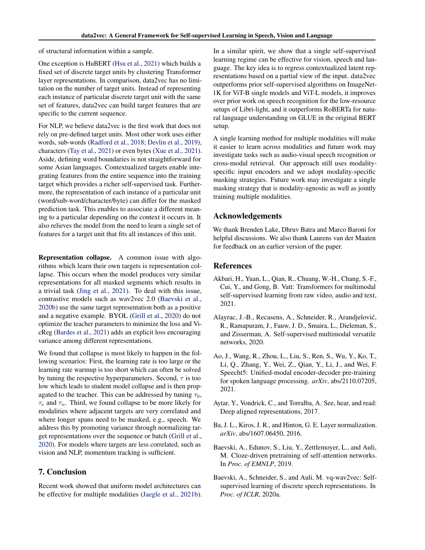of structural information within a sample.

One exception is HuBERT [\(Hsu et al.,](#page-10-4) [2021\)](#page-10-4) which builds a fixed set of discrete target units by clustering Transformer layer representations. In comparison, data2vec has no limitation on the number of target units. Instead of representing each instance of particular discrete target unit with the same set of features, data2vec can build target features that are specific to the current sequence.

For NLP, we believe data2vec is the first work that does not rely on pre-defined target units. Most other work uses either words, sub-words [\(Radford et al.,](#page-10-1) [2018;](#page-10-1) [Devlin et al.,](#page-9-0) [2019\)](#page-9-0), characters [\(Tay et al.,](#page-11-23) [2021\)](#page-11-23) or even bytes [\(Xue et al.,](#page-11-24) [2021\)](#page-11-24). Aside, defining word boundaries is not straightforward for some Asian languages. Contextualized targets enable integrating features from the entire sequence into the training target which provides a richer self-supervised task. Furthermore, the representation of each instance of a particular unit (word/sub-word/character/byte) can differ for the masked prediction task. This enables to associate a different meaning to a particular depending on the context it occurs in. It also relieves the model from the need to learn a single set of features for a target unit that fits all instances of this unit.

Representation collapse. A common issue with algorithms which learn their own targets is representation collapse. This occurs when the model produces very similar representations for all masked segments which results in a trivial task [\(Jing et al.,](#page-10-23) [2021\)](#page-10-23). To deal with this issue, contrastive models such as wav2vec 2.0 [\(Baevski et al.,](#page-9-2) [2020b\)](#page-9-2) use the same target representation both as a positive and a negative example. BYOL [\(Grill et al.,](#page-9-8) [2020\)](#page-9-8) do not optimize the teacher parameters to minimize the loss and VicReg [\(Bardes et al.,](#page-9-19) [2021\)](#page-9-19) adds an explicit loss encouraging variance among different representations.

We found that collapse is most likely to happen in the following scenarios: First, the learning rate is too large or the learning rate warmup is too short which can often be solved by tuning the respective hyperparameters. Second,  $\tau$  is too low which leads to student model collapse and is then propagated to the teacher. This can be addressed by tuning  $\tau_0$ ,  $\tau_e$  and  $\tau_n$ . Third, we found collapse to be more likely for modalities where adjacent targets are very correlated and where longer spans need to be masked, e.g., speech. We address this by promoting variance through normalizing target representations over the sequence or batch [\(Grill et al.,](#page-9-8) [2020\)](#page-9-8). For models where targets are less correlated, such as vision and NLP, momentum tracking is sufficient.

# 7. Conclusion

Recent work showed that uniform model architectures can be effective for multiple modalities [\(Jaegle et al.,](#page-10-6) [2021b\)](#page-10-6).

In a similar spirit, we show that a single self-supervised learning regime can be effective for vision, speech and language. The key idea is to regress contextualized latent representations based on a partial view of the input. data2vec outperforms prior self-supervised algorithms on ImageNet-1K for ViT-B single models and ViT-L models, it improves over prior work on speech recognition for the low-resource setups of Libri-light, and it outperforms RoBERTa for natural language understanding on GLUE in the original BERT setup.

A single learning method for multiple modalities will make it easier to learn across modalities and future work may investigate tasks such as audio-visual speech recognition or cross-modal retrieval. Our approach still uses modalityspecific input encoders and we adopt modality-specific masking strategies. Future work may investigate a single masking strategy that is modality-agnostic as well as jointly training multiple modalities.

# Acknowledgements

We thank Brenden Lake, Dhruv Batra and Marco Baroni for helpful discussions. We also thank Laurens van der Maaten for feedback on an earlier version of the paper.

# References

- <span id="page-8-5"></span>Akbari, H., Yuan, L., Qian, R., Chuang, W.-H., Chang, S.-F., Cui, Y., and Gong, B. Vatt: Transformers for multimodal self-supervised learning from raw video, audio and text, 2021.
- <span id="page-8-4"></span>Alayrac, J.-B., Recasens, A., Schneider, R., Arandjelovic,´ R., Ramapuram, J., Fauw, J. D., Smaira, L., Dieleman, S., and Zisserman, A. Self-supervised multimodal versatile networks, 2020.
- <span id="page-8-2"></span>Ao, J., Wang, R., Zhou, L., Liu, S., Ren, S., Wu, Y., Ko, T., Li, Q., Zhang, Y., Wei, Z., Qian, Y., Li, J., and Wei, F. Speecht5: Unified-modal encoder-decoder pre-training for spoken language processing. *arXiv*, abs/2110.07205, 2021.
- <span id="page-8-3"></span>Aytar, Y., Vondrick, C., and Torralba, A. See, hear, and read: Deep aligned representations, 2017.
- <span id="page-8-6"></span>Ba, J. L., Kiros, J. R., and Hinton, G. E. Layer normalization. *arXiv*, abs/1607.06450, 2016.
- <span id="page-8-0"></span>Baevski, A., Edunov, S., Liu, Y., Zettlemoyer, L., and Auli, M. Cloze-driven pretraining of self-attention networks. In *Proc. of EMNLP*, 2019.
- <span id="page-8-1"></span>Baevski, A., Schneider, S., and Auli, M. vq-wav2vec: Selfsupervised learning of discrete speech representations. In *Proc. of ICLR*, 2020a.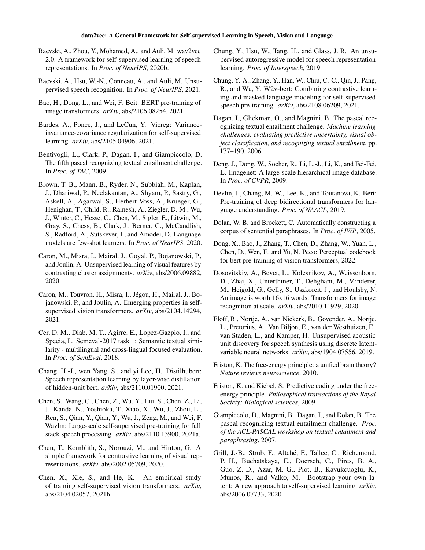- <span id="page-9-2"></span>Baevski, A., Zhou, Y., Mohamed, A., and Auli, M. wav2vec 2.0: A framework for self-supervised learning of speech representations. In *Proc. of NeurIPS*, 2020b.
- <span id="page-9-7"></span>Baevski, A., Hsu, W.-N., Conneau, A., and Auli, M. Unsupervised speech recognition. In *Proc. of NeurIPS*, 2021.
- <span id="page-9-6"></span>Bao, H., Dong, L., and Wei, F. Beit: BERT pre-training of image transformers. *arXiv*, abs/2106.08254, 2021.
- <span id="page-9-19"></span>Bardes, A., Ponce, J., and LeCun, Y. Vicreg: Varianceinvariance-covariance regularization for self-supervised learning. *arXiv*, abs/2105.04906, 2021.
- <span id="page-9-23"></span>Bentivogli, L., Clark, P., Dagan, I., and Giampiccolo, D. The fifth pascal recognizing textual entailment challenge. In *Proc. of TAC*, 2009.
- <span id="page-9-1"></span>Brown, T. B., Mann, B., Ryder, N., Subbiah, M., Kaplan, J., Dhariwal, P., Neelakantan, A., Shyam, P., Sastry, G., Askell, A., Agarwal, S., Herbert-Voss, A., Krueger, G., Henighan, T., Child, R., Ramesh, A., Ziegler, D. M., Wu, J., Winter, C., Hesse, C., Chen, M., Sigler, E., Litwin, M., Gray, S., Chess, B., Clark, J., Berner, C., McCandlish, S., Radford, A., Sutskever, I., and Amodei, D. Language models are few-shot learners. In *Proc. of NeurIPS*, 2020.
- <span id="page-9-11"></span>Caron, M., Misra, I., Mairal, J., Goyal, P., Bojanowski, P., and Joulin, A. Unsupervised learning of visual features by contrasting cluster assignments. *arXiv*, abs/2006.09882, 2020.
- <span id="page-9-5"></span>Caron, M., Touvron, H., Misra, I., Jégou, H., Mairal, J., Bojanowski, P., and Joulin, A. Emerging properties in selfsupervised vision transformers. *arXiv*, abs/2104.14294, 2021.
- <span id="page-9-25"></span>Cer, D. M., Diab, M. T., Agirre, E., Lopez-Gazpio, I., and Specia, L. Semeval-2017 task 1: Semantic textual similarity - multilingual and cross-lingual focused evaluation. In *Proc. of SemEval*, 2018.
- <span id="page-9-17"></span>Chang, H.-J., wen Yang, S., and yi Lee, H. Distilhubert: Speech representation learning by layer-wise distillation of hidden-unit bert. *arXiv*, abs/2110.01900, 2021.
- <span id="page-9-15"></span>Chen, S., Wang, C., Chen, Z., Wu, Y., Liu, S., Chen, Z., Li, J., Kanda, N., Yoshioka, T., Xiao, X., Wu, J., Zhou, L., Ren, S., Qian, Y., Qian, Y., Wu, J., Zeng, M., and Wei, F. Wavlm: Large-scale self-supervised pre-training for full stack speech processing. *arXiv*, abs/2110.13900, 2021a.
- <span id="page-9-3"></span>Chen, T., Kornblith, S., Norouzi, M., and Hinton, G. A simple framework for contrastive learning of visual representations. *arXiv*, abs/2002.05709, 2020.
- <span id="page-9-4"></span>Chen, X., Xie, S., and He, K. An empirical study of training self-supervised vision transformers. *arXiv*, abs/2104.02057, 2021b.
- <span id="page-9-14"></span>Chung, Y., Hsu, W., Tang, H., and Glass, J. R. An unsupervised autoregressive model for speech representation learning. *Proc. of Interspeech*, 2019.
- <span id="page-9-18"></span>Chung, Y.-A., Zhang, Y., Han, W., Chiu, C.-C., Qin, J., Pang, R., and Wu, Y. W2v-bert: Combining contrastive learning and masked language modeling for self-supervised speech pre-training. *arXiv*, abs/2108.06209, 2021.
- <span id="page-9-21"></span>Dagan, I., Glickman, O., and Magnini, B. The pascal recognizing textual entailment challenge. *Machine learning challenges, evaluating predictive uncertainty, visual object classification, and recognizing textual entailment*, pp. 177–190, 2006.
- <span id="page-9-20"></span>Deng, J., Dong, W., Socher, R., Li, L.-J., Li, K., and Fei-Fei, L. Imagenet: A large-scale hierarchical image database. In *Proc. of CVPR*, 2009.
- <span id="page-9-0"></span>Devlin, J., Chang, M.-W., Lee, K., and Toutanova, K. Bert: Pre-training of deep bidirectional transformers for language understanding. *Proc. of NAACL*, 2019.
- <span id="page-9-24"></span>Dolan, W. B. and Brockett, C. Automatically constructing a corpus of sentential paraphrases. In *Proc. of IWP*, 2005.
- <span id="page-9-13"></span>Dong, X., Bao, J., Zhang, T., Chen, D., Zhang, W., Yuan, L., Chen, D., Wen, F., and Yu, N. Peco: Perceptual codebook for bert pre-training of vision transformers, 2022.
- <span id="page-9-12"></span>Dosovitskiy, A., Beyer, L., Kolesnikov, A., Weissenborn, D., Zhai, X., Unterthiner, T., Dehghani, M., Minderer, M., Heigold, G., Gelly, S., Uszkoreit, J., and Houlsby, N. An image is worth 16x16 words: Transformers for image recognition at scale. *arXiv*, abs/2010.11929, 2020.
- <span id="page-9-16"></span>Eloff, R., Nortje, A., van Niekerk, B., Govender, A., Nortje, L., Pretorius, A., Van Biljon, E., van der Westhuizen, E., van Staden, L., and Kamper, H. Unsupervised acoustic unit discovery for speech synthesis using discrete latentvariable neural networks. *arXiv*, abs/1904.07556, 2019.
- <span id="page-9-10"></span>Friston, K. The free-energy principle: a unified brain theory? *Nature reviews neuroscience*, 2010.
- <span id="page-9-9"></span>Friston, K. and Kiebel, S. Predictive coding under the freeenergy principle. *Philosophical transactions of the Royal Society: Biological sciences*, 2009.
- <span id="page-9-22"></span>Giampiccolo, D., Magnini, B., Dagan, I., and Dolan, B. The pascal recognizing textual entailment challenge. *Proc. of the ACL-PASCAL workshop on textual entailment and paraphrasing*, 2007.
- <span id="page-9-8"></span>Grill, J.-B., Strub, F., Altché, F., Tallec, C., Richemond, P. H., Buchatskaya, E., Doersch, C., Pires, B. A., Guo, Z. D., Azar, M. G., Piot, B., Kavukcuoglu, K., Munos, R., and Valko, M. Bootstrap your own latent: A new approach to self-supervised learning. *arXiv*, abs/2006.07733, 2020.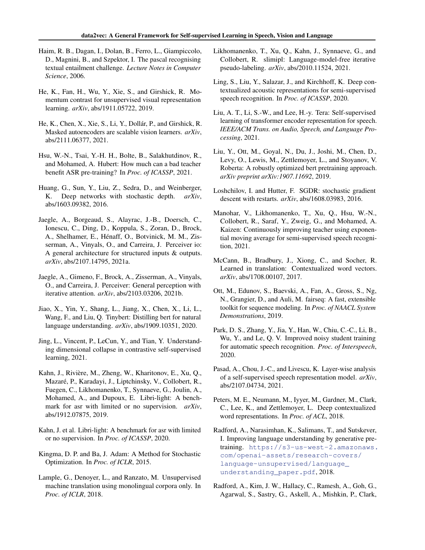- <span id="page-10-18"></span>Haim, R. B., Dagan, I., Dolan, B., Ferro, L., Giampiccolo, D., Magnini, B., and Szpektor, I. The pascal recognising textual entailment challenge. *Lecture Notes in Computer Science*, 2006.
- <span id="page-10-7"></span>He, K., Fan, H., Wu, Y., Xie, S., and Girshick, R. Momentum contrast for unsupervised visual representation learning. *arXiv*, abs/1911.05722, 2019.
- <span id="page-10-2"></span>He, K., Chen, X., Xie, S., Li, Y., Dollár, P., and Girshick, R. Masked autoencoders are scalable vision learners. *arXiv*, abs/2111.06377, 2021.
- <span id="page-10-4"></span>Hsu, W.-N., Tsai, Y.-H. H., Bolte, B., Salakhutdinov, R., and Mohamed, A. Hubert: How much can a bad teacher benefit ASR pre-training? In *Proc. of ICASSP*, 2021.
- <span id="page-10-15"></span>Huang, G., Sun, Y., Liu, Z., Sedra, D., and Weinberger, K. Deep networks with stochastic depth. *arXiv*, abs/1603.09382, 2016.
- <span id="page-10-21"></span>Jaegle, A., Borgeaud, S., Alayrac, J.-B., Doersch, C., Ionescu, C., Ding, D., Koppula, S., Zoran, D., Brock, A., Shelhamer, E., Henaff, O., Botvinick, M. M., Zis- ´ serman, A., Vinyals, O., and Carreira, J. Perceiver io: A general architecture for structured inputs & outputs. *arXiv*, abs/2107.14795, 2021a.
- <span id="page-10-6"></span>Jaegle, A., Gimeno, F., Brock, A., Zisserman, A., Vinyals, O., and Carreira, J. Perceiver: General perception with iterative attention. *arXiv*, abs/2103.03206, 2021b.
- <span id="page-10-10"></span>Jiao, X., Yin, Y., Shang, L., Jiang, X., Chen, X., Li, L., Wang, F., and Liu, Q. Tinybert: Distilling bert for natural language understanding. *arXiv*, abs/1909.10351, 2020.
- <span id="page-10-23"></span>Jing, L., Vincent, P., LeCun, Y., and Tian, Y. Understanding dimensional collapse in contrastive self-supervised learning, 2021.
- <span id="page-10-20"></span>Kahn, J., Riviere, M., Zheng, W., Kharitonov, E., Xu, Q., ` Mazaré, P., Karadayi, J., Liptchinsky, V., Collobert, R., Fuegen, C., Likhomanenko, T., Synnaeve, G., Joulin, A., Mohamed, A., and Dupoux, E. Libri-light: A benchmark for asr with limited or no supervision. *arXiv*, abs/1912.07875, 2019.
- <span id="page-10-17"></span>Kahn, J. et al. Libri-light: A benchmark for asr with limited or no supervision. In *Proc. of ICASSP*, 2020.
- <span id="page-10-13"></span>Kingma, D. P. and Ba, J. Adam: A Method for Stochastic Optimization. In *Proc. of ICLR*, 2015.
- <span id="page-10-3"></span>Lample, G., Denoyer, L., and Ranzato, M. Unsupervised machine translation using monolingual corpora only. In *Proc. of ICLR*, 2018.
- <span id="page-10-25"></span>Likhomanenko, T., Xu, Q., Kahn, J., Synnaeve, G., and Collobert, R. slimipl: Language-model-free iterative pseudo-labeling. *arXiv*, abs/2010.11524, 2021.
- <span id="page-10-22"></span>Ling, S., Liu, Y., Salazar, J., and Kirchhoff, K. Deep contextualized acoustic representations for semi-supervised speech recognition. In *Proc. of ICASSP*, 2020.
- <span id="page-10-11"></span>Liu, A. T., Li, S.-W., and Lee, H.-y. Tera: Self-supervised learning of transformer encoder representation for speech. *IEEE/ACM Trans. on Audio, Speech, and Language Processing*, 2021.
- <span id="page-10-8"></span>Liu, Y., Ott, M., Goyal, N., Du, J., Joshi, M., Chen, D., Levy, O., Lewis, M., Zettlemoyer, L., and Stoyanov, V. Roberta: A robustly optimized bert pretraining approach. *arXiv preprint arXiv:1907.11692*, 2019.
- <span id="page-10-14"></span>Loshchilov, I. and Hutter, F. SGDR: stochastic gradient descent with restarts. *arXiv*, abs/1608.03983, 2016.
- <span id="page-10-12"></span>Manohar, V., Likhomanenko, T., Xu, Q., Hsu, W.-N., Collobert, R., Saraf, Y., Zweig, G., and Mohamed, A. Kaizen: Continuously improving teacher using exponential moving average for semi-supervised speech recognition, 2021.
- <span id="page-10-9"></span>McCann, B., Bradbury, J., Xiong, C., and Socher, R. Learned in translation: Contextualized word vectors. *arXiv*, abs/1708.00107, 2017.
- <span id="page-10-16"></span>Ott, M., Edunov, S., Baevski, A., Fan, A., Gross, S., Ng, N., Grangier, D., and Auli, M. fairseq: A fast, extensible toolkit for sequence modeling. In *Proc. of NAACL System Demonstrations*, 2019.
- <span id="page-10-24"></span>Park, D. S., Zhang, Y., Jia, Y., Han, W., Chiu, C.-C., Li, B., Wu, Y., and Le, Q. V. Improved noisy student training for automatic speech recognition. *Proc. of Interspeech*, 2020.
- <span id="page-10-19"></span>Pasad, A., Chou, J.-C., and Livescu, K. Layer-wise analysis of a self-supervised speech representation model. *arXiv*, abs/2107.04734, 2021.
- <span id="page-10-0"></span>Peters, M. E., Neumann, M., Iyyer, M., Gardner, M., Clark, C., Lee, K., and Zettlemoyer, L. Deep contextualized word representations. In *Proc. of ACL*, 2018.
- <span id="page-10-1"></span>Radford, A., Narasimhan, K., Salimans, T., and Sutskever, I. Improving language understanding by generative pretraining. [https://s3-us-west-2.amazonaws.](https://s3-us-west-2.amazonaws.com/openai-assets/research-covers/language-unsupervised/language_understanding_paper.pdf) [com/openai-assets/research-covers/](https://s3-us-west-2.amazonaws.com/openai-assets/research-covers/language-unsupervised/language_understanding_paper.pdf) [language-unsupervised/language\\_](https://s3-us-west-2.amazonaws.com/openai-assets/research-covers/language-unsupervised/language_understanding_paper.pdf) [understanding\\_paper.pdf](https://s3-us-west-2.amazonaws.com/openai-assets/research-covers/language-unsupervised/language_understanding_paper.pdf), 2018.
- <span id="page-10-5"></span>Radford, A., Kim, J. W., Hallacy, C., Ramesh, A., Goh, G., Agarwal, S., Sastry, G., Askell, A., Mishkin, P., Clark,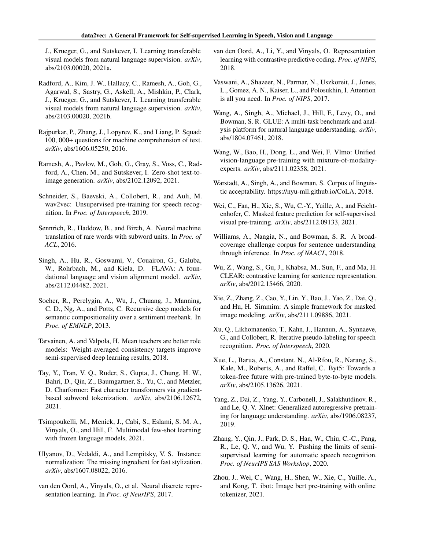J., Krueger, G., and Sutskever, I. Learning transferable visual models from natural language supervision. *arXiv*, abs/2103.00020, 2021a.

- <span id="page-11-8"></span>Radford, A., Kim, J. W., Hallacy, C., Ramesh, A., Goh, G., Agarwal, S., Sastry, G., Askell, A., Mishkin, P., Clark, J., Krueger, G., and Sutskever, I. Learning transferable visual models from natural language supervision. *arXiv*, abs/2103.00020, 2021b.
- <span id="page-11-19"></span>Rajpurkar, P., Zhang, J., Lopyrev, K., and Liang, P. Squad: 100, 000+ questions for machine comprehension of text. *arXiv*, abs/1606.05250, 2016.
- <span id="page-11-5"></span>Ramesh, A., Pavlov, M., Goh, G., Gray, S., Voss, C., Radford, A., Chen, M., and Sutskever, I. Zero-shot text-toimage generation. *arXiv*, abs/2102.12092, 2021.
- <span id="page-11-1"></span>Schneider, S., Baevski, A., Collobert, R., and Auli, M. wav2vec: Unsupervised pre-training for speech recognition. In *Proc. of Interspeech*, 2019.
- <span id="page-11-13"></span>Sennrich, R., Haddow, B., and Birch, A. Neural machine translation of rare words with subword units. In *Proc. of ACL*, 2016.
- <span id="page-11-10"></span>Singh, A., Hu, R., Goswami, V., Couairon, G., Galuba, W., Rohrbach, M., and Kiela, D. FLAVA: A foundational language and vision alignment model. *arXiv*, abs/2112.04482, 2021.
- <span id="page-11-21"></span>Socher, R., Perelygin, A., Wu, J., Chuang, J., Manning, C. D., Ng, A., and Potts, C. Recursive deep models for semantic compositionality over a sentiment treebank. In *Proc. of EMNLP*, 2013.
- <span id="page-11-15"></span>Tarvainen, A. and Valpola, H. Mean teachers are better role models: Weight-averaged consistency targets improve semi-supervised deep learning results, 2018.
- <span id="page-11-23"></span>Tay, Y., Tran, V. Q., Ruder, S., Gupta, J., Chung, H. W., Bahri, D., Qin, Z., Baumgartner, S., Yu, C., and Metzler, D. Charformer: Fast character transformers via gradientbased subword tokenization. *arXiv*, abs/2106.12672, 2021.
- <span id="page-11-11"></span>Tsimpoukelli, M., Menick, J., Cabi, S., Eslami, S. M. A., Vinyals, O., and Hill, F. Multimodal few-shot learning with frozen language models, 2021.
- <span id="page-11-16"></span>Ulyanov, D., Vedaldi, A., and Lempitsky, V. S. Instance normalization: The missing ingredient for fast stylization. *arXiv*, abs/1607.08022, 2016.
- <span id="page-11-3"></span>van den Oord, A., Vinyals, O., et al. Neural discrete representation learning. In *Proc. of NeurIPS*, 2017.
- <span id="page-11-0"></span>van den Oord, A., Li, Y., and Vinyals, O. Representation learning with contrastive predictive coding. *Proc. of NIPS*, 2018.
- <span id="page-11-2"></span>Vaswani, A., Shazeer, N., Parmar, N., Uszkoreit, J., Jones, L., Gomez, A. N., Kaiser, L., and Polosukhin, I. Attention is all you need. In *Proc. of NIPS*, 2017.
- <span id="page-11-17"></span>Wang, A., Singh, A., Michael, J., Hill, F., Levy, O., and Bowman, S. R. GLUE: A multi-task benchmark and analysis platform for natural language understanding. *arXiv*, abs/1804.07461, 2018.
- <span id="page-11-9"></span>Wang, W., Bao, H., Dong, L., and Wei, F. Vlmo: Unified vision-language pre-training with mixture-of-modalityexperts. *arXiv*, abs/2111.02358, 2021.
- <span id="page-11-20"></span>Warstadt, A., Singh, A., and Bowman, S. Corpus of linguistic acceptability. https://nyu-mll.github.io/CoLA, 2018.
- <span id="page-11-14"></span>Wei, C., Fan, H., Xie, S., Wu, C.-Y., Yuille, A., and Feichtenhofer, C. Masked feature prediction for self-supervised visual pre-training. *arXiv*, abs/2112.09133, 2021.
- <span id="page-11-18"></span>Williams, A., Nangia, N., and Bowman, S. R. A broadcoverage challenge corpus for sentence understanding through inference. In *Proc. of NAACL*, 2018.
- <span id="page-11-22"></span>Wu, Z., Wang, S., Gu, J., Khabsa, M., Sun, F., and Ma, H. CLEAR: contrastive learning for sentence representation. *arXiv*, abs/2012.15466, 2020.
- <span id="page-11-4"></span>Xie, Z., Zhang, Z., Cao, Y., Lin, Y., Bao, J., Yao, Z., Dai, Q., and Hu, H. Simmim: A simple framework for masked image modeling. *arXiv*, abs/2111.09886, 2021.
- <span id="page-11-25"></span>Xu, Q., Likhomanenko, T., Kahn, J., Hannun, A., Synnaeve, G., and Collobert, R. Iterative pseudo-labeling for speech recognition. *Proc. of Interspeech*, 2020.
- <span id="page-11-24"></span>Xue, L., Barua, A., Constant, N., Al-Rfou, R., Narang, S., Kale, M., Roberts, A., and Raffel, C. Byt5: Towards a token-free future with pre-trained byte-to-byte models. *arXiv*, abs/2105.13626, 2021.
- <span id="page-11-7"></span>Yang, Z., Dai, Z., Yang, Y., Carbonell, J., Salakhutdinov, R., and Le, Q. V. Xlnet: Generalized autoregressive pretraining for language understanding. *arXiv*, abs/1906.08237, 2019.
- <span id="page-11-12"></span>Zhang, Y., Qin, J., Park, D. S., Han, W., Chiu, C.-C., Pang, R., Le, Q. V., and Wu, Y. Pushing the limits of semisupervised learning for automatic speech recognition. *Proc. of NeurIPS SAS Workshop*, 2020.
- <span id="page-11-6"></span>Zhou, J., Wei, C., Wang, H., Shen, W., Xie, C., Yuille, A., and Kong, T. ibot: Image bert pre-training with online tokenizer, 2021.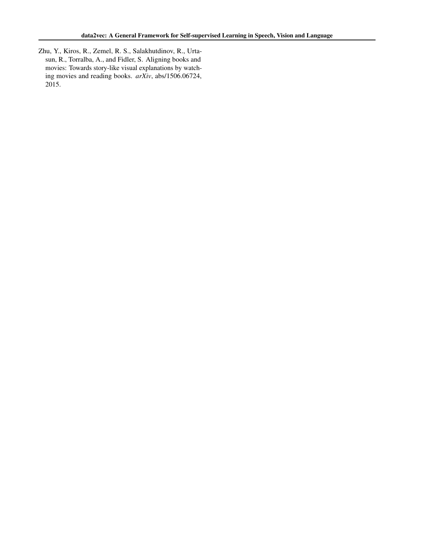<span id="page-12-0"></span>Zhu, Y., Kiros, R., Zemel, R. S., Salakhutdinov, R., Urtasun, R., Torralba, A., and Fidler, S. Aligning books and movies: Towards story-like visual explanations by watching movies and reading books. *arXiv*, abs/1506.06724, 2015.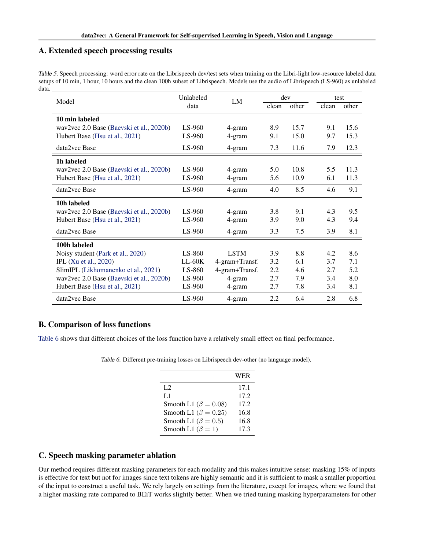# A. Extended speech processing results

<span id="page-13-0"></span>Table 5. Speech processing: word error rate on the Librispeech dev/test sets when training on the Libri-light low-resource labeled data setups of 10 min, 1 hour, 10 hours and the clean 100h subset of Librispeech. Models use the audio of Librispeech (LS-960) as unlabeled data.

| Model                                    | Unlabeled | LM             |       | dev   |       | test  |  |
|------------------------------------------|-----------|----------------|-------|-------|-------|-------|--|
|                                          | data      |                | clean | other | clean | other |  |
| 10 min labeled                           |           |                |       |       |       |       |  |
| wav2vec 2.0 Base (Baevski et al., 2020b) | LS-960    | 4-gram         | 8.9   | 15.7  | 9.1   | 15.6  |  |
| Hubert Base (Hsu et al., 2021)           | LS-960    | 4-gram         | 9.1   | 15.0  | 9.7   | 15.3  |  |
| data2vec Base                            | LS-960    | 4-gram         | 7.3   | 11.6  | 7.9   | 12.3  |  |
| 1h labeled                               |           |                |       |       |       |       |  |
| wav2vec 2.0 Base (Baevski et al., 2020b) | LS-960    | 4-gram         | 5.0   | 10.8  | 5.5   | 11.3  |  |
| Hubert Base (Hsu et al., 2021)           | LS-960    | 4-gram         | 5.6   | 10.9  | 6.1   | 11.3  |  |
| data2vec Base                            | $LS-960$  | 4-gram         | 4.0   | 8.5   | 4.6   | 9.1   |  |
| 10h labeled                              |           |                |       |       |       |       |  |
| wav2vec 2.0 Base (Baevski et al., 2020b) | $LS-960$  | 4-gram         | 3.8   | 9.1   | 4.3   | 9.5   |  |
| Hubert Base (Hsu et al., 2021)           | LS-960    | 4-gram         | 3.9   | 9.0   | 4.3   | 9.4   |  |
| data2vec Base                            | LS-960    | 4-gram         | 3.3   | 7.5   | 3.9   | 8.1   |  |
| 100h labeled                             |           |                |       |       |       |       |  |
| Noisy student (Park et al., 2020)        | LS-860    | <b>LSTM</b>    | 3.9   | 8.8   | 4.2.  | 8.6   |  |
| <b>IPL</b> (Xu et al., 2020)             | $LL-60K$  | 4-gram+Transf. | 3.2   | 6.1   | 3.7   | 7.1   |  |
| SlimIPL (Likhomanenko et al., 2021)      | LS-860    | 4-gram+Transf. | 2.2   | 4.6   | 2.7   | 5.2   |  |
| wav2vec 2.0 Base (Baevski et al., 2020b) | $LS-960$  | 4-gram         | 2.7   | 7.9   | 3.4   | 8.0   |  |
| Hubert Base (Hsu et al., 2021)           | LS-960    | 4-gram         | 2.7   | 7.8   | 3.4   | 8.1   |  |
| data2vec Base                            | $LS-960$  | 4-gram         | 2.2   | 6.4   | 2.8   | 6.8   |  |

# B. Comparison of loss functions

<span id="page-13-1"></span>[Table 6](#page-13-1) shows that different choices of the loss function have a relatively small effect on final performance.

Table 6. Different pre-training losses on Librispeech dev-other (no language model).

|                              | <b>WER</b> |
|------------------------------|------------|
| L2                           | 17.1       |
| L1                           | 17.2       |
| Smooth L1 ( $\beta = 0.08$ ) | 17.2       |
| Smooth L1 ( $\beta = 0.25$ ) | 16.8       |
| Smooth L1 ( $\beta = 0.5$ )  | 16.8       |
| Smooth L1 ( $\beta = 1$ )    | 17.3       |

# C. Speech masking parameter ablation

Our method requires different masking parameters for each modality and this makes intuitive sense: masking 15% of inputs is effective for text but not for images since text tokens are highly semantic and it is sufficient to mask a smaller proportion of the input to construct a useful task. We rely largely on settings from the literature, except for images, where we found that a higher masking rate compared to BEiT works slightly better. When we tried tuning masking hyperparameters for other